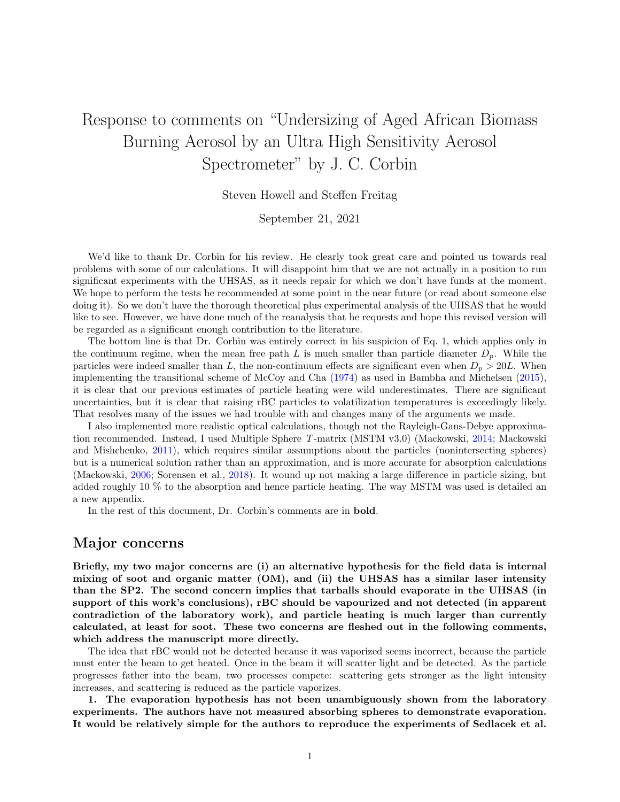# Response to comments on "Undersizing of Aged African Biomass Burning Aerosol by an Ultra High Sensitivity Aerosol Spectrometer" by J. C. Corbin

Steven Howell and Steffen Freitag

September 21, 2021

We'd like to thank Dr. Corbin for his review. He clearly took great care and pointed us towards real problems with some of our calculations. It will disappoint him that we are not actually in a position to run significant experiments with the UHSAS, as it needs repair for which we don't have funds at the moment. We hope to perform the tests he recommended at some point in the near future (or read about someone else doing it). So we don't have the thorough theoretical plus experimental analysis of the UHSAS that he would like to see. However, we have done much of the reanalysis that he requests and hope this revised version will be regarded as a significant enough contribution to the literature.

The bottom line is that Dr. Corbin was entirely correct in his suspicion of Eq. 1, which applies only in the continuum regime, when the mean free path L is much smaller than particle diameter  $D_p$ . While the particles were indeed smaller than L, the non-continuum effects are significant even when  $D_p > 20L$ . When implementing the transitional scheme of McCoy and Cha [\(1974\)](#page-8-0) as used in Bambha and Michelsen [\(2015\)](#page-7-0), it is clear that our previous estimates of particle heating were wild underestimates. There are significant uncertainties, but it is clear that raising rBC particles to volatilization temperatures is exceedingly likely. That resolves many of the issues we had trouble with and changes many of the arguments we made.

I also implemented more realistic optical calculations, though not the Rayleigh-Gans-Debye approximation recommended. Instead, I used Multiple Sphere T-matrix (MSTM v3.0) (Mackowski, [2014;](#page-8-1) Mackowski and Mishchenko, [2011\)](#page-8-2), which requires similar assumptions about the particles (nonintersecting spheres) but is a numerical solution rather than an approximation, and is more accurate for absorption calculations (Mackowski, [2006;](#page-8-3) Sorensen et al., [2018\)](#page-8-4). It wound up not making a large difference in particle sizing, but added roughly 10 % to the absorption and hence particle heating. The way MSTM was used is detailed an a new appendix.

In the rest of this document, Dr. Corbin's comments are in bold.

### Major concerns

Briefly, my two major concerns are (i) an alternative hypothesis for the field data is internal mixing of soot and organic matter (OM), and (ii) the UHSAS has a similar laser intensity than the SP2. The second concern implies that tarballs should evaporate in the UHSAS (in support of this work's conclusions), rBC should be vapourized and not detected (in apparent contradiction of the laboratory work), and particle heating is much larger than currently calculated, at least for soot. These two concerns are fleshed out in the following comments, which address the manuscript more directly.

The idea that rBC would not be detected because it was vaporized seems incorrect, because the particle must enter the beam to get heated. Once in the beam it will scatter light and be detected. As the particle progresses father into the beam, two processes compete: scattering gets stronger as the light intensity increases, and scattering is reduced as the particle vaporizes.

1. The evaporation hypothesis has not been unambiguously shown from the laboratory experiments. The authors have not measured absorbing spheres to demonstrate evaporation. It would be relatively simple for the authors to reproduce the experiments of Sedlacek et al.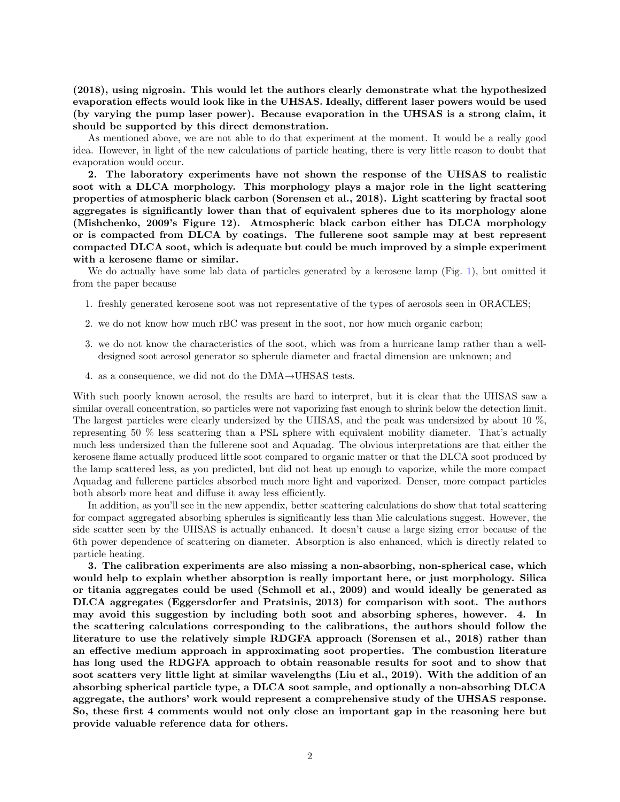(2018), using nigrosin. This would let the authors clearly demonstrate what the hypothesized evaporation effects would look like in the UHSAS. Ideally, different laser powers would be used (by varying the pump laser power). Because evaporation in the UHSAS is a strong claim, it should be supported by this direct demonstration.

As mentioned above, we are not able to do that experiment at the moment. It would be a really good idea. However, in light of the new calculations of particle heating, there is very little reason to doubt that evaporation would occur.

2. The laboratory experiments have not shown the response of the UHSAS to realistic soot with a DLCA morphology. This morphology plays a major role in the light scattering properties of atmospheric black carbon (Sorensen et al., 2018). Light scattering by fractal soot aggregates is significantly lower than that of equivalent spheres due to its morphology alone (Mishchenko, 2009's Figure 12). Atmospheric black carbon either has DLCA morphology or is compacted from DLCA by coatings. The fullerene soot sample may at best represent compacted DLCA soot, which is adequate but could be much improved by a simple experiment with a kerosene flame or similar.

We do actually have some lab data of particles generated by a kerosene lamp (Fig. [1\)](#page-2-0), but omitted it from the paper because

- 1. freshly generated kerosene soot was not representative of the types of aerosols seen in ORACLES;
- 2. we do not know how much rBC was present in the soot, nor how much organic carbon;
- 3. we do not know the characteristics of the soot, which was from a hurricane lamp rather than a welldesigned soot aerosol generator so spherule diameter and fractal dimension are unknown; and
- 4. as a consequence, we did not do the DMA→UHSAS tests.

With such poorly known aerosol, the results are hard to interpret, but it is clear that the UHSAS saw a similar overall concentration, so particles were not vaporizing fast enough to shrink below the detection limit. The largest particles were clearly undersized by the UHSAS, and the peak was undersized by about 10 %, representing 50 % less scattering than a PSL sphere with equivalent mobility diameter. That's actually much less undersized than the fullerene soot and Aquadag. The obvious interpretations are that either the kerosene flame actually produced little soot compared to organic matter or that the DLCA soot produced by the lamp scattered less, as you predicted, but did not heat up enough to vaporize, while the more compact Aquadag and fullerene particles absorbed much more light and vaporized. Denser, more compact particles both absorb more heat and diffuse it away less efficiently.

In addition, as you'll see in the new appendix, better scattering calculations do show that total scattering for compact aggregated absorbing spherules is significantly less than Mie calculations suggest. However, the side scatter seen by the UHSAS is actually enhanced. It doesn't cause a large sizing error because of the 6th power dependence of scattering on diameter. Absorption is also enhanced, which is directly related to particle heating.

3. The calibration experiments are also missing a non-absorbing, non-spherical case, which would help to explain whether absorption is really important here, or just morphology. Silica or titania aggregates could be used (Schmoll et al., 2009) and would ideally be generated as DLCA aggregates (Eggersdorfer and Pratsinis, 2013) for comparison with soot. The authors may avoid this suggestion by including both soot and absorbing spheres, however. 4. In the scattering calculations corresponding to the calibrations, the authors should follow the literature to use the relatively simple RDGFA approach (Sorensen et al., 2018) rather than an effective medium approach in approximating soot properties. The combustion literature has long used the RDGFA approach to obtain reasonable results for soot and to show that soot scatters very little light at similar wavelengths (Liu et al., 2019). With the addition of an absorbing spherical particle type, a DLCA soot sample, and optionally a non-absorbing DLCA aggregate, the authors' work would represent a comprehensive study of the UHSAS response. So, these first 4 comments would not only close an important gap in the reasoning here but provide valuable reference data for others.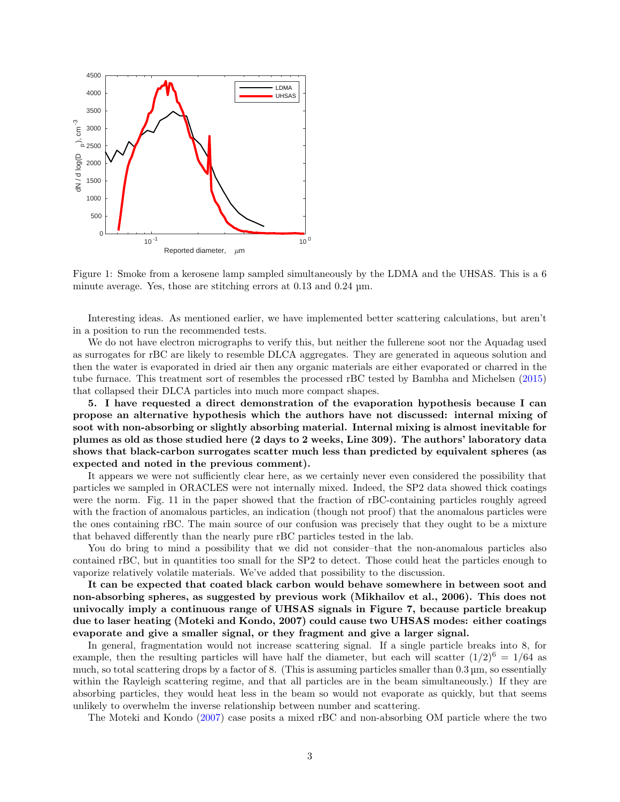

<span id="page-2-0"></span>Figure 1: Smoke from a kerosene lamp sampled simultaneously by the LDMA and the UHSAS. This is a 6 minute average. Yes, those are stitching errors at 0.13 and 0.24 µm.

Interesting ideas. As mentioned earlier, we have implemented better scattering calculations, but aren't in a position to run the recommended tests.

We do not have electron micrographs to verify this, but neither the fullerene soot nor the Aquadag used as surrogates for rBC are likely to resemble DLCA aggregates. They are generated in aqueous solution and then the water is evaporated in dried air then any organic materials are either evaporated or charred in the tube furnace. This treatment sort of resembles the processed rBC tested by Bambha and Michelsen [\(2015\)](#page-7-0) that collapsed their DLCA particles into much more compact shapes.

5. I have requested a direct demonstration of the evaporation hypothesis because I can propose an alternative hypothesis which the authors have not discussed: internal mixing of soot with non-absorbing or slightly absorbing material. Internal mixing is almost inevitable for plumes as old as those studied here (2 days to 2 weeks, Line 309). The authors' laboratory data shows that black-carbon surrogates scatter much less than predicted by equivalent spheres (as expected and noted in the previous comment).

It appears we were not sufficiently clear here, as we certainly never even considered the possibility that particles we sampled in ORACLES were not internally mixed. Indeed, the SP2 data showed thick coatings were the norm. Fig. 11 in the paper showed that the fraction of rBC-containing particles roughly agreed with the fraction of anomalous particles, an indication (though not proof) that the anomalous particles were the ones containing rBC. The main source of our confusion was precisely that they ought to be a mixture that behaved differently than the nearly pure rBC particles tested in the lab.

You do bring to mind a possibility that we did not consider–that the non-anomalous particles also contained rBC, but in quantities too small for the SP2 to detect. Those could heat the particles enough to vaporize relatively volatile materials. We've added that possibility to the discussion.

It can be expected that coated black carbon would behave somewhere in between soot and non-absorbing spheres, as suggested by previous work (Mikhailov et al., 2006). This does not univocally imply a continuous range of UHSAS signals in Figure 7, because particle breakup due to laser heating (Moteki and Kondo, 2007) could cause two UHSAS modes: either coatings evaporate and give a smaller signal, or they fragment and give a larger signal.

In general, fragmentation would not increase scattering signal. If a single particle breaks into 8, for example, then the resulting particles will have half the diameter, but each will scatter  $(1/2)^6 = 1/64$  as much, so total scattering drops by a factor of 8. (This is assuming particles smaller than  $0.3 \,\mu$ m, so essentially within the Rayleigh scattering regime, and that all particles are in the beam simultaneously.) If they are absorbing particles, they would heat less in the beam so would not evaporate as quickly, but that seems unlikely to overwhelm the inverse relationship between number and scattering.

The Moteki and Kondo [\(2007\)](#page-8-5) case posits a mixed rBC and non-absorbing OM particle where the two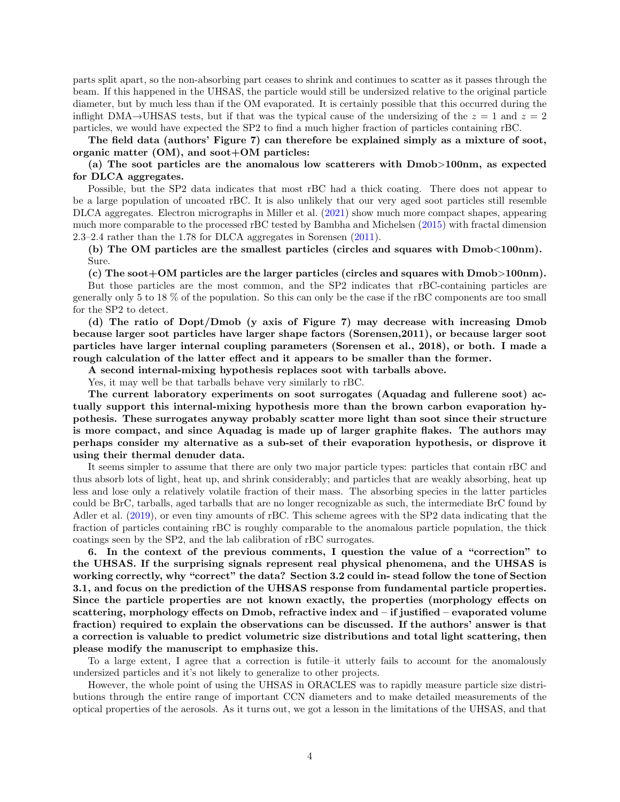parts split apart, so the non-absorbing part ceases to shrink and continues to scatter as it passes through the beam. If this happened in the UHSAS, the particle would still be undersized relative to the original particle diameter, but by much less than if the OM evaporated. It is certainly possible that this occurred during the inflight DMA→UHSAS tests, but if that was the typical cause of the undersizing of the  $z = 1$  and  $z = 2$ particles, we would have expected the SP2 to find a much higher fraction of particles containing rBC.

The field data (authors' Figure 7) can therefore be explained simply as a mixture of soot, organic matter  $(OM)$ , and soot+OM particles:

(a) The soot particles are the anomalous low scatterers with Dmob>100nm, as expected for DLCA aggregates.

Possible, but the SP2 data indicates that most rBC had a thick coating. There does not appear to be a large population of uncoated rBC. It is also unlikely that our very aged soot particles still resemble DLCA aggregates. Electron micrographs in Miller et al. [\(2021\)](#page-8-6) show much more compact shapes, appearing much more comparable to the processed rBC tested by Bambha and Michelsen [\(2015\)](#page-7-0) with fractal dimension 2.3–2.4 rather than the 1.78 for DLCA aggregates in Sorensen [\(2011\)](#page-8-7).

(b) The OM particles are the smallest particles (circles and squares with Dmob<100nm). Sure.

(c) The soot+OM particles are the larger particles (circles and squares with Dmob>100nm).

But those particles are the most common, and the SP2 indicates that rBC-containing particles are generally only 5 to 18 % of the population. So this can only be the case if the rBC components are too small for the SP2 to detect.

(d) The ratio of Dopt/Dmob (y axis of Figure 7) may decrease with increasing Dmob because larger soot particles have larger shape factors (Sorensen,2011), or because larger soot particles have larger internal coupling parameters (Sorensen et al., 2018), or both. I made a rough calculation of the latter effect and it appears to be smaller than the former.

A second internal-mixing hypothesis replaces soot with tarballs above.

Yes, it may well be that tarballs behave very similarly to rBC.

The current laboratory experiments on soot surrogates (Aquadag and fullerene soot) actually support this internal-mixing hypothesis more than the brown carbon evaporation hypothesis. These surrogates anyway probably scatter more light than soot since their structure is more compact, and since Aquadag is made up of larger graphite flakes. The authors may perhaps consider my alternative as a sub-set of their evaporation hypothesis, or disprove it using their thermal denuder data.

It seems simpler to assume that there are only two major particle types: particles that contain rBC and thus absorb lots of light, heat up, and shrink considerably; and particles that are weakly absorbing, heat up less and lose only a relatively volatile fraction of their mass. The absorbing species in the latter particles could be BrC, tarballs, aged tarballs that are no longer recognizable as such, the intermediate BrC found by Adler et al. [\(2019\)](#page-7-1), or even tiny amounts of rBC. This scheme agrees with the SP2 data indicating that the fraction of particles containing rBC is roughly comparable to the anomalous particle population, the thick coatings seen by the SP2, and the lab calibration of rBC surrogates.

6. In the context of the previous comments, I question the value of a "correction" to the UHSAS. If the surprising signals represent real physical phenomena, and the UHSAS is working correctly, why "correct" the data? Section 3.2 could in- stead follow the tone of Section 3.1, and focus on the prediction of the UHSAS response from fundamental particle properties. Since the particle properties are not known exactly, the properties (morphology effects on scattering, morphology effects on Dmob, refractive index and – if justified – evaporated volume fraction) required to explain the observations can be discussed. If the authors' answer is that a correction is valuable to predict volumetric size distributions and total light scattering, then please modify the manuscript to emphasize this.

To a large extent, I agree that a correction is futile–it utterly fails to account for the anomalously undersized particles and it's not likely to generalize to other projects.

However, the whole point of using the UHSAS in ORACLES was to rapidly measure particle size distributions through the entire range of important CCN diameters and to make detailed measurements of the optical properties of the aerosols. As it turns out, we got a lesson in the limitations of the UHSAS, and that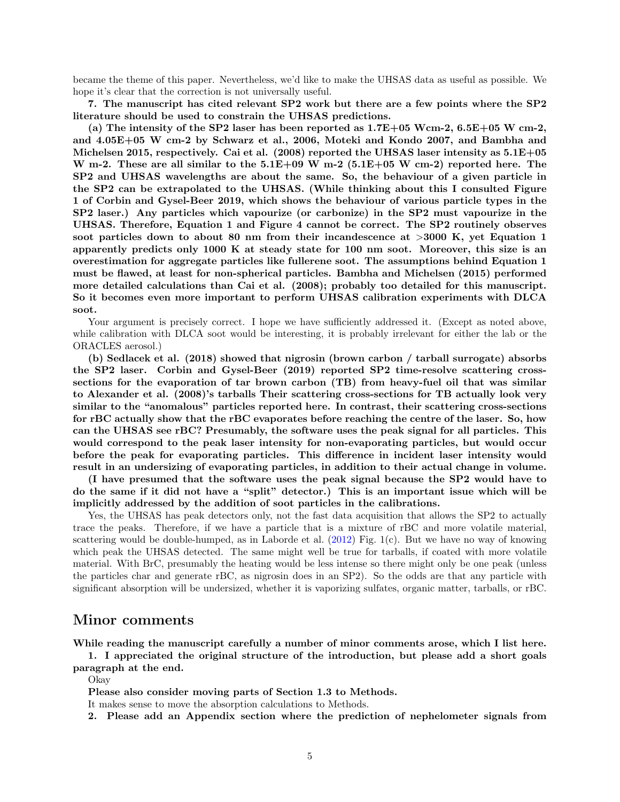became the theme of this paper. Nevertheless, we'd like to make the UHSAS data as useful as possible. We hope it's clear that the correction is not universally useful.

7. The manuscript has cited relevant SP2 work but there are a few points where the SP2 literature should be used to constrain the UHSAS predictions.

(a) The intensity of the SP2 laser has been reported as  $1.7E+05$  Wcm-2,  $6.5E+05$  W cm-2, and 4.05E+05 W cm-2 by Schwarz et al., 2006, Moteki and Kondo 2007, and Bambha and Michelsen 2015, respectively. Cai et al.  $(2008)$  reported the UHSAS laser intensity as  $5.1E+05$ W m-2. These are all similar to the  $5.1E+09$  W m-2 ( $5.1E+05$  W cm-2) reported here. The SP2 and UHSAS wavelengths are about the same. So, the behaviour of a given particle in the SP2 can be extrapolated to the UHSAS. (While thinking about this I consulted Figure 1 of Corbin and Gysel-Beer 2019, which shows the behaviour of various particle types in the SP2 laser.) Any particles which vapourize (or carbonize) in the SP2 must vapourize in the UHSAS. Therefore, Equation 1 and Figure 4 cannot be correct. The SP2 routinely observes soot particles down to about 80 nm from their incandescence at >3000 K, yet Equation 1 apparently predicts only 1000 K at steady state for 100 nm soot. Moreover, this size is an overestimation for aggregate particles like fullerene soot. The assumptions behind Equation 1 must be flawed, at least for non-spherical particles. Bambha and Michelsen (2015) performed more detailed calculations than Cai et al. (2008); probably too detailed for this manuscript. So it becomes even more important to perform UHSAS calibration experiments with DLCA soot.

Your argument is precisely correct. I hope we have sufficiently addressed it. (Except as noted above, while calibration with DLCA soot would be interesting, it is probably irrelevant for either the lab or the ORACLES aerosol.)

(b) Sedlacek et al. (2018) showed that nigrosin (brown carbon / tarball surrogate) absorbs the SP2 laser. Corbin and Gysel-Beer (2019) reported SP2 time-resolve scattering crosssections for the evaporation of tar brown carbon (TB) from heavy-fuel oil that was similar to Alexander et al. (2008)'s tarballs Their scattering cross-sections for TB actually look very similar to the "anomalous" particles reported here. In contrast, their scattering cross-sections for rBC actually show that the rBC evaporates before reaching the centre of the laser. So, how can the UHSAS see rBC? Presumably, the software uses the peak signal for all particles. This would correspond to the peak laser intensity for non-evaporating particles, but would occur before the peak for evaporating particles. This difference in incident laser intensity would result in an undersizing of evaporating particles, in addition to their actual change in volume.

(I have presumed that the software uses the peak signal because the SP2 would have to do the same if it did not have a "split" detector.) This is an important issue which will be implicitly addressed by the addition of soot particles in the calibrations.

Yes, the UHSAS has peak detectors only, not the fast data acquisition that allows the SP2 to actually trace the peaks. Therefore, if we have a particle that is a mixture of rBC and more volatile material, scattering would be double-humped, as in Laborde et al. [\(2012\)](#page-8-8) Fig. 1(c). But we have no way of knowing which peak the UHSAS detected. The same might well be true for tarballs, if coated with more volatile material. With BrC, presumably the heating would be less intense so there might only be one peak (unless the particles char and generate rBC, as nigrosin does in an SP2). So the odds are that any particle with significant absorption will be undersized, whether it is vaporizing sulfates, organic matter, tarballs, or rBC.

#### Minor comments

While reading the manuscript carefully a number of minor comments arose, which I list here.

1. I appreciated the original structure of the introduction, but please add a short goals

paragraph at the end.

Okay

Please also consider moving parts of Section 1.3 to Methods.

It makes sense to move the absorption calculations to Methods.

2. Please add an Appendix section where the prediction of nephelometer signals from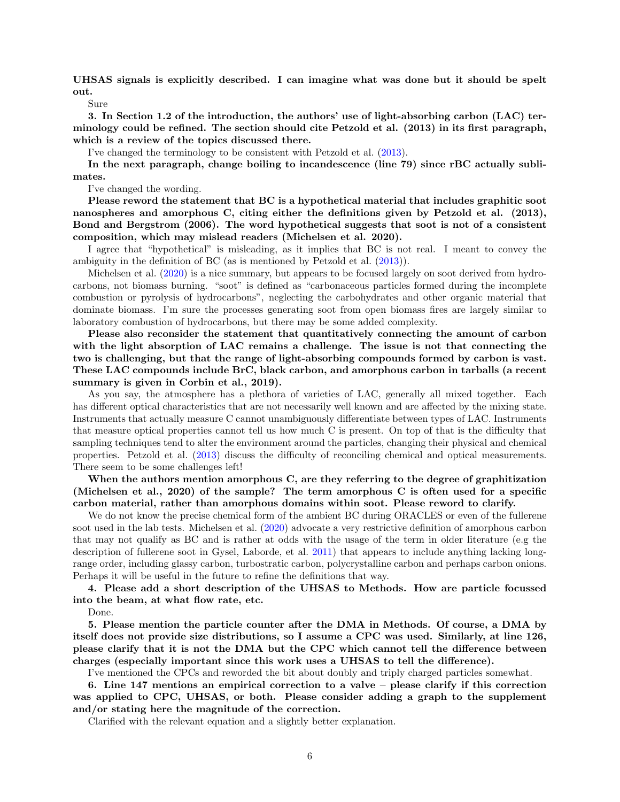UHSAS signals is explicitly described. I can imagine what was done but it should be spelt out.

Sure

3. In Section 1.2 of the introduction, the authors' use of light-absorbing carbon (LAC) terminology could be refined. The section should cite Petzold et al. (2013) in its first paragraph, which is a review of the topics discussed there.

I've changed the terminology to be consistent with Petzold et al. [\(2013\)](#page-8-9).

In the next paragraph, change boiling to incandescence (line 79) since rBC actually sublimates.

I've changed the wording.

Please reword the statement that BC is a hypothetical material that includes graphitic soot nanospheres and amorphous C, citing either the definitions given by Petzold et al. (2013), Bond and Bergstrom (2006). The word hypothetical suggests that soot is not of a consistent composition, which may mislead readers (Michelsen et al. 2020).

I agree that "hypothetical" is misleading, as it implies that BC is not real. I meant to convey the ambiguity in the definition of BC (as is mentioned by Petzold et al. [\(2013\)](#page-8-9)).

Michelsen et al. [\(2020\)](#page-8-10) is a nice summary, but appears to be focused largely on soot derived from hydrocarbons, not biomass burning. "soot" is defined as "carbonaceous particles formed during the incomplete combustion or pyrolysis of hydrocarbons", neglecting the carbohydrates and other organic material that dominate biomass. I'm sure the processes generating soot from open biomass fires are largely similar to laboratory combustion of hydrocarbons, but there may be some added complexity.

Please also reconsider the statement that quantitatively connecting the amount of carbon with the light absorption of LAC remains a challenge. The issue is not that connecting the two is challenging, but that the range of light-absorbing compounds formed by carbon is vast. These LAC compounds include BrC, black carbon, and amorphous carbon in tarballs (a recent summary is given in Corbin et al., 2019).

As you say, the atmosphere has a plethora of varieties of LAC, generally all mixed together. Each has different optical characteristics that are not necessarily well known and are affected by the mixing state. Instruments that actually measure C cannot unambiguously differentiate between types of LAC. Instruments that measure optical properties cannot tell us how much C is present. On top of that is the difficulty that sampling techniques tend to alter the environment around the particles, changing their physical and chemical properties. Petzold et al. [\(2013\)](#page-8-9) discuss the difficulty of reconciling chemical and optical measurements. There seem to be some challenges left!

When the authors mention amorphous C, are they referring to the degree of graphitization (Michelsen et al., 2020) of the sample? The term amorphous C is often used for a specific carbon material, rather than amorphous domains within soot. Please reword to clarify.

We do not know the precise chemical form of the ambient BC during ORACLES or even of the fullerene soot used in the lab tests. Michelsen et al. [\(2020\)](#page-8-10) advocate a very restrictive definition of amorphous carbon that may not qualify as BC and is rather at odds with the usage of the term in older literature (e.g the description of fullerene soot in Gysel, Laborde, et al. [2011\)](#page-8-11) that appears to include anything lacking longrange order, including glassy carbon, turbostratic carbon, polycrystalline carbon and perhaps carbon onions. Perhaps it will be useful in the future to refine the definitions that way.

4. Please add a short description of the UHSAS to Methods. How are particle focussed into the beam, at what flow rate, etc.

Done.

5. Please mention the particle counter after the DMA in Methods. Of course, a DMA by itself does not provide size distributions, so I assume a CPC was used. Similarly, at line 126, please clarify that it is not the DMA but the CPC which cannot tell the difference between charges (especially important since this work uses a UHSAS to tell the difference).

I've mentioned the CPCs and reworded the bit about doubly and triply charged particles somewhat.

6. Line 147 mentions an empirical correction to a valve – please clarify if this correction was applied to CPC, UHSAS, or both. Please consider adding a graph to the supplement and/or stating here the magnitude of the correction.

Clarified with the relevant equation and a slightly better explanation.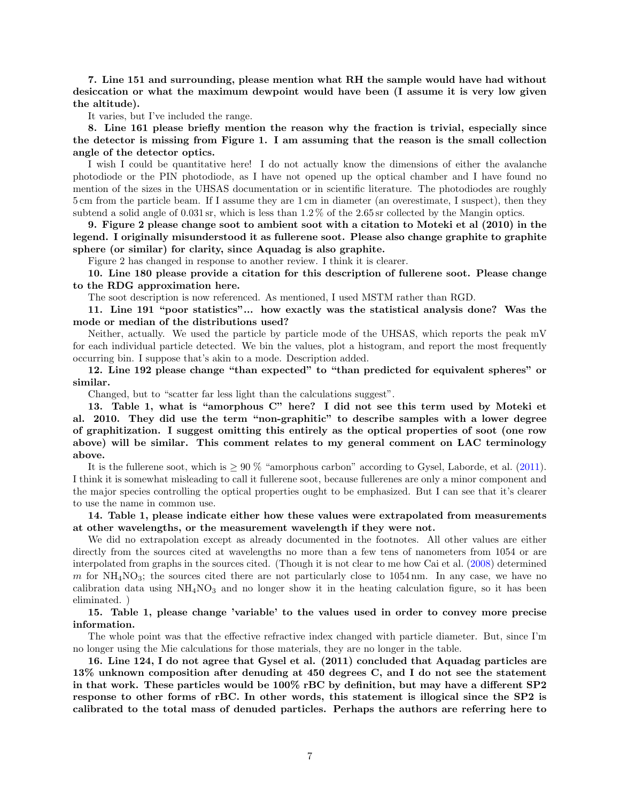7. Line 151 and surrounding, please mention what RH the sample would have had without desiccation or what the maximum dewpoint would have been (I assume it is very low given the altitude).

It varies, but I've included the range.

8. Line 161 please briefly mention the reason why the fraction is trivial, especially since the detector is missing from Figure 1. I am assuming that the reason is the small collection angle of the detector optics.

I wish I could be quantitative here! I do not actually know the dimensions of either the avalanche photodiode or the PIN photodiode, as I have not opened up the optical chamber and I have found no mention of the sizes in the UHSAS documentation or in scientific literature. The photodiodes are roughly 5 cm from the particle beam. If I assume they are 1 cm in diameter (an overestimate, I suspect), then they subtend a solid angle of 0.031 sr, which is less than 1.2 % of the 2.65 sr collected by the Mangin optics.

9. Figure 2 please change soot to ambient soot with a citation to Moteki et al (2010) in the legend. I originally misunderstood it as fullerene soot. Please also change graphite to graphite sphere (or similar) for clarity, since Aquadag is also graphite.

Figure 2 has changed in response to another review. I think it is clearer.

10. Line 180 please provide a citation for this description of fullerene soot. Please change to the RDG approximation here.

The soot description is now referenced. As mentioned, I used MSTM rather than RGD.

11. Line 191 "poor statistics"... how exactly was the statistical analysis done? Was the mode or median of the distributions used?

Neither, actually. We used the particle by particle mode of the UHSAS, which reports the peak mV for each individual particle detected. We bin the values, plot a histogram, and report the most frequently occurring bin. I suppose that's akin to a mode. Description added.

12. Line 192 please change "than expected" to "than predicted for equivalent spheres" or similar.

Changed, but to "scatter far less light than the calculations suggest".

13. Table 1, what is "amorphous C" here? I did not see this term used by Moteki et al. 2010. They did use the term "non-graphitic" to describe samples with a lower degree of graphitization. I suggest omitting this entirely as the optical properties of soot (one row above) will be similar. This comment relates to my general comment on LAC terminology above.

It is the fullerene soot, which is  $\geq 90\%$  "amorphous carbon" according to Gysel, Laborde, et al. [\(2011\)](#page-8-11). I think it is somewhat misleading to call it fullerene soot, because fullerenes are only a minor component and the major species controlling the optical properties ought to be emphasized. But I can see that it's clearer to use the name in common use.

14. Table 1, please indicate either how these values were extrapolated from measurements at other wavelengths, or the measurement wavelength if they were not.

We did no extrapolation except as already documented in the footnotes. All other values are either directly from the sources cited at wavelengths no more than a few tens of nanometers from 1054 or are interpolated from graphs in the sources cited. (Though it is not clear to me how Cai et al. [\(2008\)](#page-7-2) determined m for  $NH<sub>4</sub>NO<sub>3</sub>$ ; the sources cited there are not particularly close to 1054 nm. In any case, we have no calibration data using  $NH<sub>4</sub>NO<sub>3</sub>$  and no longer show it in the heating calculation figure, so it has been eliminated. )

15. Table 1, please change 'variable' to the values used in order to convey more precise information.

The whole point was that the effective refractive index changed with particle diameter. But, since I'm no longer using the Mie calculations for those materials, they are no longer in the table.

16. Line 124, I do not agree that Gysel et al. (2011) concluded that Aquadag particles are 13% unknown composition after denuding at 450 degrees C, and I do not see the statement in that work. These particles would be 100% rBC by definition, but may have a different SP2 response to other forms of rBC. In other words, this statement is illogical since the SP2 is calibrated to the total mass of denuded particles. Perhaps the authors are referring here to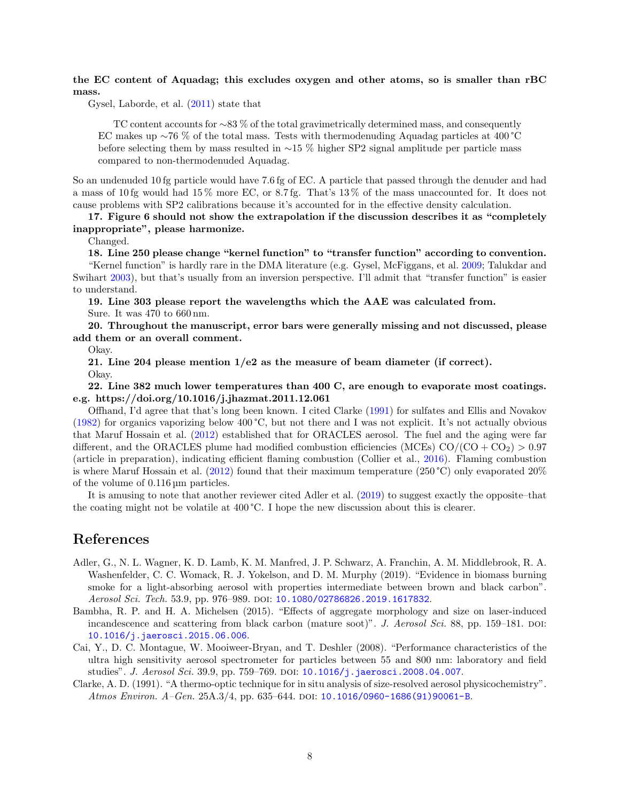#### the EC content of Aquadag; this excludes oxygen and other atoms, so is smaller than rBC mass.

Gysel, Laborde, et al. [\(2011\)](#page-8-11) state that

TC content accounts for ∼83 % of the total gravimetrically determined mass, and consequently EC makes up ∼76 % of the total mass. Tests with thermodenuding Aquadag particles at 400 °C before selecting them by mass resulted in ∼15 % higher SP2 signal amplitude per particle mass compared to non-thermodenuded Aquadag.

So an undenuded 10 fg particle would have 7.6 fg of EC. A particle that passed through the denuder and had a mass of 10 fg would had 15 % more EC, or 8.7 fg. That's 13 % of the mass unaccounted for. It does not cause problems with SP2 calibrations because it's accounted for in the effective density calculation.

17. Figure 6 should not show the extrapolation if the discussion describes it as "completely inappropriate", please harmonize.

Changed.

18. Line 250 please change "kernel function" to "transfer function" according to convention. "Kernel function" is hardly rare in the DMA literature (e.g. Gysel, McFiggans, et al. [2009;](#page-8-12) Talukdar and Swihart [2003\)](#page-8-13), but that's usually from an inversion perspective. I'll admit that "transfer function" is easier to understand.

19. Line 303 please report the wavelengths which the AAE was calculated from. Sure. It was 470 to 660 nm.

20. Throughout the manuscript, error bars were generally missing and not discussed, please add them or an overall comment.

Okay.

21. Line 204 please mention  $1/e2$  as the measure of beam diameter (if correct).

Okay.

22. Line 382 much lower temperatures than 400 C, are enough to evaporate most coatings. e.g. https://doi.org/10.1016/j.jhazmat.2011.12.061

Offhand, I'd agree that that's long been known. I cited Clarke [\(1991\)](#page-7-3) for sulfates and Ellis and Novakov [\(1982\)](#page-8-14) for organics vaporizing below 400 °C, but not there and I was not explicit. It's not actually obvious that Maruf Hossain et al. [\(2012\)](#page-8-15) established that for ORACLES aerosol. The fuel and the aging were far different, and the ORACLES plume had modified combustion efficiencies (MCEs)  $CO/(CO + CO<sub>2</sub>) > 0.97$ (article in preparation), indicating efficient flaming combustion (Collier et al., [2016\)](#page-8-16). Flaming combustion is where Maruf Hossain et al. [\(2012\)](#page-8-15) found that their maximum temperature (250 °C) only evaporated 20% of the volume of 0.116 µm particles.

It is amusing to note that another reviewer cited Adler et al. [\(2019\)](#page-7-1) to suggest exactly the opposite–that the coating might not be volatile at 400 °C. I hope the new discussion about this is clearer.

## References

- <span id="page-7-1"></span>Adler, G., N. L. Wagner, K. D. Lamb, K. M. Manfred, J. P. Schwarz, A. Franchin, A. M. Middlebrook, R. A. Washenfelder, C. C. Womack, R. J. Yokelson, and D. M. Murphy (2019). "Evidence in biomass burning smoke for a light-absorbing aerosol with properties intermediate between brown and black carbon". Aerosol Sci. Tech. 53.9, pp. 976–989. doi: [10.1080/02786826.2019.1617832](https://doi.org/10.1080/02786826.2019.1617832).
- <span id="page-7-0"></span>Bambha, R. P. and H. A. Michelsen (2015). "Effects of aggregate morphology and size on laser-induced incandescence and scattering from black carbon (mature soot)". J. Aerosol Sci. 88, pp. 159–181. DOI: [10.1016/j.jaerosci.2015.06.006](https://doi.org/10.1016/j.jaerosci.2015.06.006).
- <span id="page-7-2"></span>Cai, Y., D. C. Montague, W. Mooiweer-Bryan, and T. Deshler (2008). "Performance characteristics of the ultra high sensitivity aerosol spectrometer for particles between 55 and 800 nm: laboratory and field studies". J. Aerosol Sci. 39.9, pp. 759–769. DOI:  $10.1016/j$ . jaerosci. 2008.04.007.
- <span id="page-7-3"></span>Clarke, A. D. (1991). "A thermo-optic technique for in situ analysis of size-resolved aerosol physicochemistry". Atmos Environ. A-Gen. 25A.3/4, pp. 635-644. DOI: [10.1016/0960-1686\(91\)90061-B](https://doi.org/10.1016/0960-1686(91)90061-B).